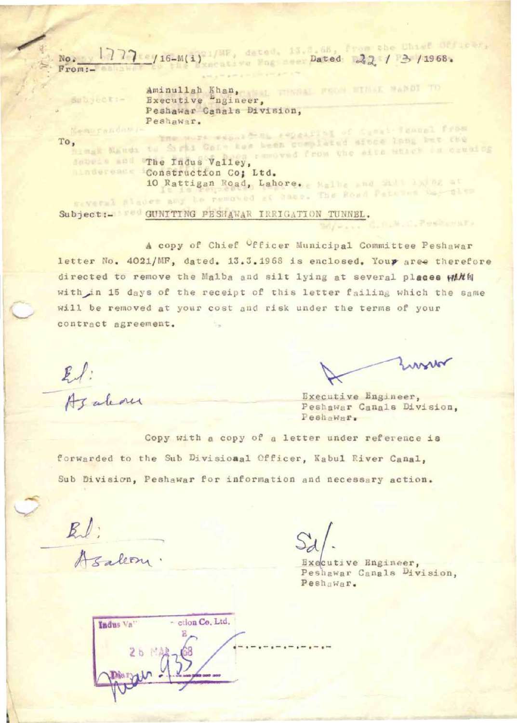$\frac{1777}{560}$  /16-M(i)<sup>21/HF</sup>, dated .13. Dated 22 / 3/1968.

Aminullah Khan, Executive ngineer, Peshawar Canals Division, Peshawar.<br>Ine were experted repeating of functional from

Bubyect:-

Memorandom;

/:-

To, mak Naudi to Sight Gall has been complated after lang ber che dobein and The Indus Valley, removed from the site where in crusing **Minderese:** Construction Co; Ltd. 10 Rattigan Road, Lahore. Malha and Sid Ladoz at

Subject:- Fed GUNITING PESHAWAR IRRIGATION TUNNEL.

A copy of Chief Officer Municipal Committee Peshawar letter No. 4021/MF, dated. 13.3.1968 is enclosed. Your aree therefore directed to remove the Malba and silt lying at several places with with in 15 days of the receipt of this letter failing which the same will be removed at your cost and risk under the terms of your contract agreement. B.

El:<br>Azalam

A.M. C. PORCHARA

Executive Engjneer, Peshawar Canals Uivision, Peshawar.

Copy with a copy of a letter under reference is forwarded to the Sub Divisional Officer, Kabul River Canal, Sub Division, Peshawar for information and necessary action.

-

Asalem

Executive Engineer, Peshawar Canals Division, Peshawar.